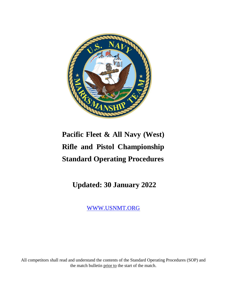

# **Pacific Fleet & All Navy (West) Rifle and Pistol Championship Standard Operating Procedures**

**Updated: 30 January 2022**

[WWW.USNMT.ORG](http://www.usnmt.org/)

All competitors shall read and understand the contents of the Standard Operating Procedures (SOP) and the match bulletin prior to the start of the match.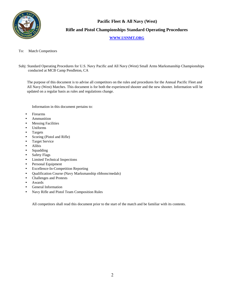

**Pacific Fleet & All Navy (West) Rifle and Pistol Championships Standard Operating Procedures**

# **[WWW.USNMT.ORG](http://www.usnmt.org/)**

To: Match Competitors

Subj: Standard Operating Procedures for U.S. Navy Pacific and All Navy (West) Small Arms Marksmanship Championships conducted at MCB Camp Pendleton, CA

The purpose of this document is to advise all competitors on the rules and procedures for the Annual Pacific Fleet and All Navy (West) Matches. This document is for both the experienced shooter and the new shooter. Information will be updated on a regular basis as rules and regulations change.

Information in this document pertains to:

- Firearms
- Ammunition
- **Messing Facilities**
- Uniforms
- **Targets**
- Scoring (Pistol and Rifle)
- Target Service
- Alibis
- Squadding
- Safety Flags
- Limited Technical Inspections
- Personal Equipment
- Excellence-In-Competition Reporting
- Qualification Course (Navy Marksmanship ribbons/medals)
- Challenges and Protests
- Awards
- General Information
- Navy Rifle and Pistol Team Composition Rules

All competitors shall read this document prior to the start of the match and be familiar with its contents.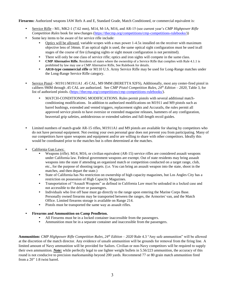**Firearms:** Authorized weapons IAW Refs A and E, Standard Grade, Match Conditioned, or commercial equivalent is:

- Service Rifle M1, MK2-1 (7.62 mm), M14, M-1A, M16, and AR-15 (see current year's *CMP Highpower Rifle Competition Rules* book for newchanges [\(https://thecmp.org/competitions/cmp-competitions-rulebooks/\)](https://thecmp.org/competitions/cmp-competitions-rulebooks/))
- Some key items to be aware of for service rifle include:
	- Optics will be allowed, variable scopes with a max power 1-4.5x installed on the receiver with maximum objective lens of 34mm. If an optical sight is used, the same optical sight configuration must be used inall stages of the course of fire (changing sights or sight mount configuration is not permitted).
	- There will only be one class of service rifle; optics and iron sights will compete in the same class.
	- **CMP Alternative Rifle.** Residents of states where the ownership of a Service Rifle that complies with Rule 4.1.1 is prohibited by law may use a CMP Alternative Rifle, See Rulebook for details.
	- **AR10-type commercial rifle** or M110 U.S. Army Service Rifle may be used for Long-Range matches under the Long-Range Service Rifle category.
- Service Pistol M1911/M1911A1 .45 CAL, M9 9MM (BERETTA 92FS), Additionally, most any center-fired pistol in calibers 9MM through .45 CAL are authorized. See *CMP Pistol Competition Rules, 24th Edition – 2020*, Table 3, for list of authorized pistols. [\(https://thecmp.org/competitions/cmp-competitions-rulebooks/\)](https://thecmp.org/competitions/cmp-competitions-rulebooks/).
	- MATCH-CONDITIONING MODIFICATIONS. Rules permit pistols with several additional matchconditioning modifications. In addition to authorized modifications on M1911 and M9 pistols such as barrel bushings, extended and vented triggers, replacement sights and Accurails, the rules permit all approved service pistols to have oversize or extended magazine releases, hammers of any configuration, beavertail grip safeties, ambidextrous or extended safeties and full-length recoil guides.
- Limited numbers of match-grade AR-15 rifles, M1911A1 and M9 pistols are available for sharing by competitors who do not have personal equipment. Not owning your own personal gear does not prevent you from participating. Many of our competitors have spare weapons and equipment and/or are willing to share with other competitors. Ideally this would be coordinated prior to the matches but is often determined at the matches.
- California Gun Laws:
	- Weapons (rifle). M14, M16, or civilian equivalent (AR-15) service rifles are considered assault weapons under California law. Federal government weapons are exempt. Out of state residents may bring assault weapons into the state if attending an organized match or competition conducted on a target range, club, etc., for the purpose of shooting targets. (i.e. You can bring an assault weapon into the state, shoot in the matches, and then depart the state.)
	- State of California has No restriction on ownership of high capacity magazines, but Los Angles City has a restriction on possession of High Capacity Magazines.
	- Transportation of "Assault Weapons" as defined in California Law must be unloaded in a locked case and not accessible to the driver or passengers.
	- Individuals who live off base must go directly to the range upon entering the Marine Corps Base. Personally owned firearms may be transported between the ranges, the Armories' van, and the Match Office. Limited firearms storage is available on Range 214.
	- Pistols must be transported the same way as assault rifles.
- **Firearms and Ammunition on Camp Pendleton.**
	- All Firearms must be in a locked container inaccessible from the passengers.
	- Ammunition must be in a separate container and inaccessible from the passengers.

**Ammunition:** *CMP Highpower Rifle Competition Rules, 24th Edition – 2020* Rule 4.3 "Any safe ammunition" will be allowed at the discretion of the match director. Any evidence of unsafe ammunition will be grounds for removal from the firing line. A limited amount of Navy ammunition will be provided for Sailors. Civilian or non-Navy competitors will be required to supply their own ammunition. *Note:* while perfectly legal to use lighter weight bullets in 5.56/223 ammunition, the accuracy of this round is not conducive to precision marksmanship beyond 200 yards. Recommend 77 or 80 grain match ammunition fired from a 20" 1:8 twist barrel.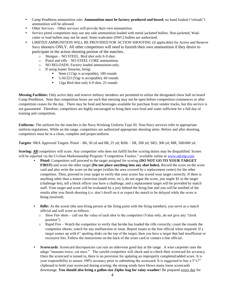- Camp Pendleton ammunition rule: **Ammunition must be factory produced and boxed**; no hand loaded ("reloads") ammunition will be allowed.
- Other Services Other services will provide their own ammunition.
- Service pistol competitors may use any safe ammunition loaded with metal-jacketed bullets. Non-jacketed, Wadcutter or lead bullets may not be used. Semi-wadcutter (SWC) bullets are authorized.
- LIMITED AMMUNITION WILL BE PROVIDED FOR ACTION SHOOTING (if applicable) for Active and Reserve Navy shooters ONLY. All other competitors will need to furnish their own ammunition if they desire to participate in the action shooting portion of the matches.
	- o Shotgun NO STEEL. Bird shot only 6-9 shot.
	- o Pistol and rifle NO STEEL CORE ammunition.
	- o NO RELOADS. Factory loaded ammunition only.
	- o If using loaner firearms, bring:
		- 9mm (115gr is acceptable), 100 rounds
		- $\blacksquare$  5.56/223 (55gr is acceptable), 60 rounds
		- <sup>1</sup> 12ga Bird shot only 6-9 shot, 25 rounds

**Messing Facilities:** Only active duty and reserve military members are permitted to utilize the designated chow hall on board Camp Pendleton. Note that competition hours are such that messing may not be open before competition commences or after competition ceases for the day. There may be food and beverages available for purchase from vendor trucks, but this service is not guaranteed. Therefore, competitors are highly encouraged to bring their own food and water sufficient for a full day of training and competition.

**Uniforms**: The uniform for the matches is the Navy Working Uniform Type III. Non-Navy services refer to appropriate uniform regulations. While on the range, competitors are authorized appropriate shooting attire. Before and after shooting, competitors must be in a clean, complete and proper uniform.

**Targets**: NRA Approved Targets: Pistol – B6, 50 yd and B8, 25 yd; Rifle – SR, 200 yd; SR3, 300 yd; MR, 500/600 yd.

**Scoring: All** competitors will score. Any competitor who does not fulfill his/her scoring duties may be disqualified. Scores will be reported via the Civilian Marksmanship Program "Competition Tracker," available online at [www.odcmp.com.](http://www.odcmp.com/)

- **Pistol:** Competitors will proceed to the target assigned for scoring **(DO NOT GO TO YOUR TARGET FIRST)** and score the other target **(Do not place anything into any shot holes).** Record the score on the score card and also write the score on the target (within the area covered by a replacement center) for the other competitor. Then, proceed to your target to verify that your scorer has scored your target correctly. If there is anything other than a minor correction (math error, etc.), do not argue the score, just staple \$1 to the target (challenge fee), tell a block officer you have a challenge, and a replacement target will be provided by match staff. Your target and score will be evaluated by a jury behind the firing line and you will be notified of the results after you finish shooting (i.e. don't dwell on it or expect the match to be delayed while the score is being resolved).
- **Rifle:** As the scorer (the non-firing person at the firing point with the firing member), you serve as a match official and will score as follows:
	- $\circ$  Slow Fire shots call out the value of each shot to the competitor (Value only, do not give any "clock" position").
	- $\circ$  Rapid Fire Watch the competitor to verify that he/she has loaded the rifle correctly; count the rounds the competitor shoots, watch for any malfunction or issue. Report issues to the line official when required. If a target comes up with 6" spotting disks on the top of the target, then you have a target that had insufficient or excessive hits. Follow the instructions on the back of the score card or contact a line official.
- **Scorecards**: Scorecard discrepancies can ruin an otherwise good day at the range. A wise carpenter uses the adage "measure twice, cut once." The careful competitor will check and re-check their scorecard for accuracy. Once the scorecard is turned in, there is no provision for updating an improperly completed/added score. It is your responsibility to ensure 100% accuracy prior to submitting the scorecard. It is suggested to buy a 5"x7" clipboard to hold your scorecard during scoring; the strong winds have blown many loose scorecards downrange. **You should also bring a gallon size Ziploc bag for rainy weather**! Be prepared every day for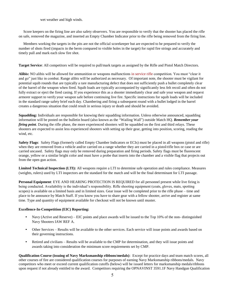#### wet weather and high winds.

Score keepers on the firing line are also safety observers. You are responsible to verify that the shooter has placed the rifle on safe, removed the magazine, and inserted an Empty Chamber Indicator prior to the rifle being removed from the firing line.

Members working the targets in the pits are not the official scorekeeper but are expected to be prepared to verify the number of shots fired (impacts in the berm compared to visible holes in the target) for rapid fire strings and accurately and timely pull and mark each slow fire shot.

**Target Service**: All competitors will be required to pull/mark targets as assigned by the Rifle and Pistol Match Directors.

**Alibis:** NO alibis will be allowed for ammunition or weapons malfunctions in service rifle competition. You must "clear it and go" just like in combat. Range alibis will be authorized as necessary. Of important note, the shooter must be vigilant for potential squib rounds that are typically a rare manufacturing defect that does not sufficiently push a bullet completely clear of the barrel of the weapon when fired. Squib loads are typically accompanied by significantly less felt recoil and often do not fully extract or eject the fired casing. If you experience this as a shooter immediately clear and safe your weapon and request armorer support to verify your weapon safe before continuing live fire. Specific instructions for squib loads will be included in the standard range safety brief each day. Chambering and firing a subsequent round with a bullet lodged in the barrel creates a dangerous situation that could result in serious injury or death and should be avoided.

**Squadding:** Individuals are responsible for knowing their squadding information. Unless otherwise announced, squadding information will be posted on the bulletin board (also known as the "Wailing Wall") outside Match HQ. *Remember your firing point*. During the rifle phase, the more experienced shooters will be squadded on the first and third relays. These shooters are expected to assist less experienced shooters with setting up their gear, getting into position, scoring, reading the wind, etc.

**Safety Flags**: Safety Flags (formerly called Empty Chamber Indicators or ECIs) must be placed in all weapons (pistol and rifle) when they are removed from a vehicle and/or carried on a range whether they are carried in a pistol/rifle box or case or are carried uncased. Safety flags may only be removed during preparation and firing periods. Safety flags must be fluorescent orange, yellow or a similar bright color and must have a probe that inserts into the chamber and a visible flag that projects out from the open gun action.

**Limited Technical Inspection (LTI):** All weapons require a LTI to determine safe operation and rules compliance. Measures (weights, rulers) used by LTI inspectors are the standard for the match and will be the final determinant for LTI passage.

**Personal Equipment**: EYE AND HEARING PROTECTION IS REQUIRED for all personnel present while live firing is being conducted. Availability is the individual's responsibility. Rifle shooting equipment (coats, gloves, mats, spotting scopes) is available on a limited basis and in limited sizes. Gear issue will be completed prior to the rifle phase – time and place to be announce by Match Staff. If you know you have to share gear with a fellow shooter, arrive and register at same time. Type and quantity of equipment available for checkout will not be known until muster.

## **Excellence-In-Competition (EIC) Reporting:**

- Navy (Active and Reserve) EIC points and place awards will be issued to the Top 10% of the non- distinguished Navy Shooters IAW REF A.
- Other Services Results will be available to the other services. Each service will issue points and awards based on their governing instructions.
- Retired and civilians Results will be available to the CMP for determination, and they will issue points and awards taking into consideration the minimum score requirements set by CMP.

**Qualification Course (issuing of Navy Marksmanship ribbons/medals)**: Except for practice days and team match scores, all other courses of fire are considered qualification courses for purposes of earning Navy Marksmanship ribbons/medals. Navy competitors who meet or exceed current qualification cutoffs (below) will be issued letters for marksmanship medals/ribbons upon request if not already entitled to the award. Competitors requiring the OPNAVINST 3591.1F Navy Handgun Qualification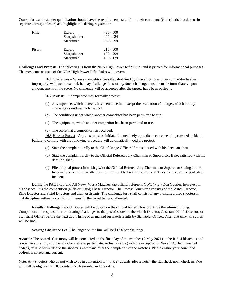Course for watch-stander qualification should have the requirement stated from their command (either in their orders or in separate correspondence) and highlight this during registration.

| Rifle:  | Expert<br>Sharpshooter<br>Marksman | $425 - 500$<br>$400 - 424$<br>$350 - 399$ |
|---------|------------------------------------|-------------------------------------------|
| Pistol: | Expert<br>Sharpshooter<br>Marksman | $210 - 300$<br>$180 - 209$<br>$160 - 179$ |

**Challenges and Protests**: The following is from the NRA High Power Rifle Rules and is printed for informational purposes. The most current issue of the NRA High Power Rifle Rules will govern.

16.1 Challenges – When a competitor feels that shot fired by himself or by another competitor has been improperly evaluated or scored, he may challenge the scoring. Such challenge must be made immediately upon announcement of the score. No challenge will be accepted after the targets have been pasted…

16.2 Protests –A competitor may formally protest:

- (a) Any injustice, which he feels, has been done him except the evaluation of a target, which hemay challenge as outlined in Rule 16.1.
- (b) The conditions under which another competitor has been permitted to fire.
- (c) The equipment, which another competitor has been permitted to use.
- (d) The score that a competitor has received.

16.3 How to Protest - A protest must be initiated immediately upon the occurrence of a protested incident. Failure to comply with the following procedure will automatically void the protest:

- (a) State the complaint orally to the Chief Range Officer. If not satisfied with his decision, then,
- (b) State the complaint orally to the Official Referee, Jury Chairman or Supervisor. If not satisfied with his decision, then,
- (c) File a formal protest in writing with the Official Referee, Jury Chairman or Supervisor stating all the facts in the case. Such written protest must be filed within 12 hours of the occurrence of the protested incident.

During the PACTFLT and All Navy (West) Matches, the official referee is CWO4 (ret) Don Gussler, however, in his absence, it is the competition (Rifle or Pistol) Phase Director. The Protest Committee consists of the Match Director, Rifle Director and Pistol Directors and their Assistants. The challenge jury shall consist of any 3 distinguished shooters in that discipline without a conflict of interest in the target being challenged.

**Results Challenge Period**: Scores will be posted on the official bulletin board outside the admin building. Competitors are responsible for initiating challenges to the posted scores to the Match Director, Assistant Match Director, or Statistical Officer before the next day's firing or as marked on match results by Statistical Officer. After that time, all scores will be final.

**Scoring Challenge Fee:** Challenges on the line will be \$1.00 per challenge.

**Awards**: The Awards Ceremony will be conducted on the final day of the matches (2 May 2021) at the R-214 bleachers and is open to all family and friends who chose to participate. Actual awards (with the exception of Navy EIC/Distinguished badges) will be forwarded to the shooter's command after the completion of the matches. Please ensure your command address is correct and current.

Note: Any shooters who do not wish to be in contention for "place" awards, please notify the stat shack upon check in. You will still be eligible for EIC points, RNSA awards, and the raffle.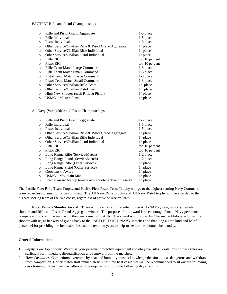PACTFLT Rifle and Pistol Championships

| $\circ$  | Rifle and Pistol Grand Aggregate                      | $1-5$ place    |
|----------|-------------------------------------------------------|----------------|
| $\circ$  | Rifle Individual                                      | $1-5$ place    |
| $\circ$  | Pistol Individual                                     | $1-5$ place    |
| $\circ$  | Other Service/Civilian Rifle & Pistol Grand Aggregate | $1st$ place    |
| $\circ$  | Other Service/Civilian Rifle Individual               | $1st$ place    |
| $\circ$  | Other Service/Civilian Pistol Individual              | $1st$ place    |
| $\circ$  | Rifle EIC                                             | top 10 percent |
| $\circ$  | Pistol EIC                                            | top 10 percent |
| $\circ$  | Rifle Team Match Large Command                        | 1-3 place      |
| $\circ$  | Rifle Team Match Small Command                        | 1-3 place      |
| $\circ$  | Pistol Team Match Large Command                       | 1-3 place      |
| $\circ$  | Pistol Team Match Small Command                       | 1-3 place      |
| $\circ$  | Other Service/Civilian Rifle Team                     | $1st$ place    |
| $\circ$  | Other Service/Civilian Pistol Team                    | $1st$ place    |
| $\circ$  | High New Shooter (each Rifle & Pistol)                | $1st$ place    |
| $\Omega$ | USMC – Master Guns                                    | $1st$ place    |

All Navy (West) Rifle and Pistol Championships

| $\circ$ | Rifle and Pistol Grand Aggregate                           | $1-5$ place    |
|---------|------------------------------------------------------------|----------------|
| $\circ$ | Rifle Individual                                           | $1-5$ place    |
| $\circ$ | Pistol Individual                                          | $1-5$ place    |
| $\circ$ | Other Service/Civilian Rifle & Pistol Grand Aggregate      | $1st$ place    |
| $\circ$ | Other Service/Civilian Rifle Individual                    | $1st$ place    |
| $\circ$ | Other Service/Civilian Pistol Individual                   | $1st$ place    |
| $\circ$ | Rifle EIC                                                  | top 10 percent |
| $\circ$ | Pistol EIC                                                 | top 10 percent |
| $\circ$ | Long Range Rifle (Service/Match)                           | 1-2 place      |
| $\circ$ | Long Range Pistol (Service/Match)                          | 1-2 place      |
| $\circ$ | Long Range Rifle (Other Service)                           | $1st$ place    |
| $\circ$ | Long Range Pistol (Other Service)                          | $1st$ place    |
| $\circ$ | Gorchenski Award                                           | $1st$ place    |
| $\circ$ | USMC - Mountain Man                                        | $1st$ place    |
| $\circ$ | Special award for top female new shooter active or reserve | $1st$ place    |
|         |                                                            |                |

The Pacific Fleet Rifle Team Trophy and Pacific Fleet Pistol Team Trophy will go to the highest scoring Navy Command team regardless of small or large command. The All Navy Rifle Trophy and All Navy Pistol trophy will be awarded to the highest scoring team of the two coasts, regardless of active or reserve team.

**Note: Female Shooter Award:** There will be an award presented to the ALL-NAVY, new, military, female shooter, and Rifle and Pistol Grand Aggregate winner. The purpose of this award is to encourage female Navy personnel to compete and to continue improving their marksmanship skills. The award is sponsored by Charmaine Malone, a long-time shooter with us, as her way of giving back to the PACFLEET/ ALL-NAVY matches and thanking all the kind and helpful personnel for providing the invaluable instruction over ten years to help make her the shooter she is today.

#### **General Information**:

- 1. *Safety* is our top priority. Wear/use your personal protective equipment and obey the rules. Violations of these rules are sufficient for immediate disqualification and removal from the matches.
- 2. *Heat Casualties.* Competitors overcome by heat and humidity must acknowledge the situation as dangerous and withdraw from competition. Notify match staff immediately. First time heat casualties will be recommended to sit out the following days training. Repeat heat casualties will be required to sit out the following days training.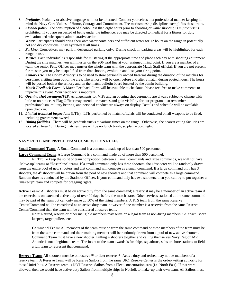- 3. *Profanity*. Profanity or abusive language will not be tolerated. Conduct yourselves in a professional manner keeping in mind the Navy Core Values of Honor, Courage and Commitment. The marksmanship discipline exemplifies these traits.
- 4. *Alcohol policy*. The consumption of alcohol less than eight hours prior to shooting or *while shooting is in progress* is prohibited. If you are suspected of being under the influence, you may be directed to medical for a fitness for duty evaluation and subsequent administrative action.
- 5. *Water*. Participants should bring their own water containers and sufficient water for 12 hours on the range in potentially hot and dry conditions. Stay hydrated at all times.
- 6. *Parking*. Competitors may park in designated parking only. During check in, parking areas will be highlighted for each range in use.
- 7. *Muster*. Each individual is responsible for mustering at the appropriate time and place each day with shooting equipment. During the rifle matches, you will muster on the 200-yard line at your assigned firing point. If you are a member of a team, the senior Petty Officer may muster the whole team with the appropriate Match Staff official. If you are not present for muster, you may be disqualified from that shooting evolution and lose your firing point.
- 8. *Armory Use*. The Conex Armory is to be used to store personally owned firearms during the duration of the matches for personnel visiting from out of the area. The armory will be open before and after a match during posted hours. The hours will be posted both at the armory and on the match bulletin board located by the admin building.
- 9. *Match Feedback Form*. A Match Feedback Form will be available at checkout. Please feel free to make comments to improve this event. Your feedback is important.
- 10. *Opening shot ceremony/VIP*. Arrangements for VIPs and an opening shot ceremony are always subject to change with little or no notice. A Flag Officer may attend our matches and gain visibility for our program – so remember professionalism, military bearing, and personal conduct are always on display. Details and schedule will be available upon check in.
- 11. *Limited technical inspections* (LTIs). LTIs performed by match officials will be conducted on all weapons to be fired, including government owned.
- 12. *Dining facilities*. There will be geedunk trucks at various times on the range. Otherwise, the nearest eating facilities are located at Area 43. During matches there will be no lunch break, so plan accordingly.

# **NAVY RIFLE AND PISTOL TEAM COMPOSITION RULES**:

**Small Command Team:** A Small Command is a command made up of less than 500 personnel.

**Large Command Team**: A Large Command is a command made up of more than 500 personnel.

NOTE: To keep the spirit of team competition between all small commands and large commands, we will not have "Move-up" teams or "Discipline" teams. If a small command only has three shooters, the 4<sup>th</sup> shooter will be randomly drawn from the entire pool of new shooters and that command will compete as a small command. If a large command only has 3 shooters, the 4<sup>th</sup> shooter will be drawn from the pool of new shooters and that command will compete as a large command. Random draw is conducted by the Statistics Officer. If your command only has two shooters, then you can try to put together a "make-up" team and compete for bragging rights.

**Active Team:** All shooters must be on active duty from the same command; a reservist may be a member of an active team if the reservist is on extended active duty of over 90 days before the match starts. Other services stationed at the same command may be part of the team but can only make up 50% of the firing members. A FTS team from the same Reserve Center/Command will be considered as an active duty team, however if one member is a reservist from the same Reserve Center/Command then the team will be considered a reserve team.

Note: Retired, reserve or other ineligible members may serve on a legal team as non-firing members, i.e. coach, score keepers, target pullers, etc.

**Command Team:** All members of the team must be from the same command or three members of the team must be from the same command and the remaining member will be randomly drawn from a pool of new active shooters. Command Team must have a new shooter. Pulling 4 shooters together and calling themselves Navy Region Mid Atlantic is not a legitimate team. The intent of the team awards is for ships, squadrons, subs or shore stations to field a full team to represent that command.

**Reserve Team:** All shooters must be on reserve <sup>(1)</sup> or fleet reserve <sup>(2)</sup>. Active duty and retired may not be members of a reserve team. A Reserve Team will be Reserve Sailors from the same UIC. Reserve Center is the order-writing authority for those Unit/Units. A Reserve team is NOT Reserve Sailors from a Fleet concentration area (i.e. North East). If that were allowed, then we would have active duty Sailors from multiple ships in Norfolk to make-up their own team. All Sailors must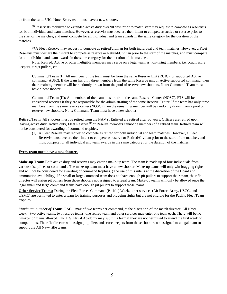be from the same UIC. Note: Every team must have a new shooter.

 $<sup>(1)</sup>$  Reservists mobilized to extended active duty over 90 days prior to match start may request to compete as reservists</sup> for both individual and team matches. However, a reservist must declare their intent to compete as active or reserve prior to the start of the matches, and must compete for all individual and team awards in the same category for the duration of the matches.

 $^{(2)}$  A Fleet Reserve may request to compete as retired/civilian for both individual and team matches. However, a Fleet Reservist must declare their intent to compete as reserve or Retired/Civilian prior to the start of the matches, and must compete for all individual and team awards in the same category for the duration of the matches.

Note: Retired, Active or other ineligible members may serve on a legal team as non-firing members, i.e. coach,score keepers, target pullers, etc.

**Command Team (I)**: All members of the team must be from the same Reserve Unit (RUIC), or supported Active command (AUIC). If the team has only three members from the same Reserve unit or Active supported command, then the remaining member will be randomly drawn from the pool of reserve new shooters. Note: Command Team must have a new shooter.

**Command Team (II)**: All members of the team must be from the same Reserve Center (NOSC). FTS will be considered reserves if they are responsible for the administrating of the same Reserve Center. If the team has only three members from the same reserve center (NOSC), then the remaining member will be randomly drawn from a pool of reserve new shooters. Note: Command Team must have a new shooter.

**Retired Team**: All shooters must be retired from the NAVY. Enlisted are retired after 30 years. Officers are retired upon leaving active duty. Active duty, Fleet Reserve <sup>(1)</sup> or Reserve members cannot be members of a retired team. Retired team will not be considered for awarding of command trophies.

(1) A Fleet Reserve may request to compete as retired for both individual and team matches. However, a Fleet Reservist must declare their intent to compete as reserve or Retired/Civilian prior to the start of the matches, and must compete for all individual and team awards in the same category for the duration of the matches.

#### **Every team must have a new shooter.**

**Make-up Team:** Both active duty and reserves may enter a make-up team. The team is made up of four individuals from various disciplines or commands. The make-up team must have a new shooter. Make-up teams will only win bragging rights, and will not be considered for awarding of command trophies. (The use of this rule is at the discretion of the Board and ammunition availability). If a small or large command team does not have enough pit pullers to support their team, the rifle director will assign pit pullers from those shooters not assigned to a legal team. Make-up teams will only be allowed once the legal small and large command teams have enough pit pullers to support those teams.

**Other Service Teams:** During the Fleet Forces Command (Pacific) Week, other services (Air Force, Army, USCG, and USMC) are permitted to enter a team for training purposes and bragging rights but are not eligible for the Pacific Fleet Team trophies.

*Maximum number of Teams*: PAC – max of two teams per command, at the discretion of the match director. All Navy week – two active teams, two reserve teams, one retired team and other services may enter one team each. There will be no "make-up" teams allowed. The U.S. Naval Academy may submit a team if they are not permitted to attend the first week of competitions. The rifle director will assign pit pullers and score keepers from those shooters not assigned to a legal team to support the All Navy rifle teams.